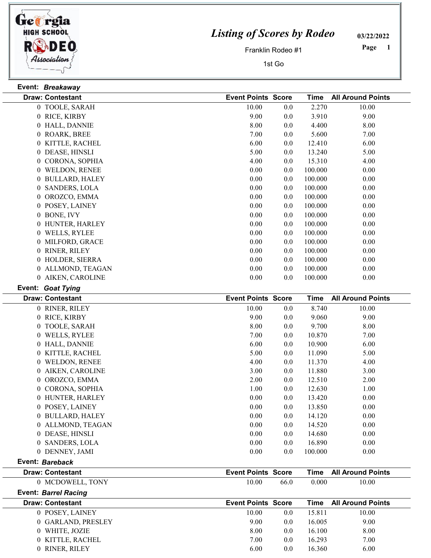

 $\frac{1}{2}$ 

 $\frac{1}{2}$  $\overline{\phantom{0}}$ 

 $\frac{1}{2}$  $\frac{1}{2}$ 

## Listing of Scores by Rodeo

03/22/2022

Franklin Rodeo #1

1st Go

1 Page

|   | Event: Breakaway            |                           |      |             |                          |
|---|-----------------------------|---------------------------|------|-------------|--------------------------|
|   | <b>Draw: Contestant</b>     | <b>Event Points Score</b> |      | <b>Time</b> | <b>All Around Points</b> |
|   | 0 TOOLE, SARAH              | 10.00                     | 0.0  | 2.270       | 10.00                    |
|   | 0 RICE, KIRBY               | 9.00                      | 0.0  | 3.910       | 9.00                     |
|   | 0 HALL, DANNIE              | 8.00                      | 0.0  | 4.400       | 8.00                     |
|   | 0 ROARK, BREE               | 7.00                      | 0.0  | 5.600       | 7.00                     |
|   | 0 KITTLE, RACHEL            | 6.00                      | 0.0  | 12.410      | 6.00                     |
|   | 0 DEASE, HINSLI             | 5.00                      | 0.0  | 13.240      | 5.00                     |
|   | 0 CORONA, SOPHIA            | 4.00                      | 0.0  | 15.310      | 4.00                     |
|   | 0 WELDON, RENEE             | 0.00                      | 0.0  | 100.000     | 0.00                     |
|   | 0 BULLARD, HALEY            | 0.00                      | 0.0  | 100.000     | 0.00                     |
|   | 0 SANDERS, LOLA             | 0.00                      | 0.0  | 100.000     | 0.00                     |
|   | 0 OROZCO, EMMA              | 0.00                      | 0.0  | 100.000     | 0.00                     |
|   | 0 POSEY, LAINEY             | 0.00                      | 0.0  | 100.000     | 0.00                     |
|   | 0 BONE, IVY                 | 0.00                      | 0.0  | 100.000     | 0.00                     |
|   | 0 HUNTER, HARLEY            | $0.00\,$                  | 0.0  | 100.000     | 0.00                     |
|   | 0 WELLS, RYLEE              | 0.00                      | 0.0  | 100.000     | 0.00                     |
|   | 0 MILFORD, GRACE            | 0.00                      | 0.0  | 100.000     | 0.00                     |
|   | 0 RINER, RILEY              | 0.00                      | 0.0  | 100.000     | 0.00                     |
|   | 0 HOLDER, SIERRA            | 0.00                      | 0.0  | 100.000     | 0.00                     |
|   | 0 ALLMOND, TEAGAN           | 0.00                      | 0.0  | 100.000     | 0.00                     |
|   | 0 AIKEN, CAROLINE           | 0.00                      | 0.0  | 100.000     | 0.00                     |
|   | Event: Goat Tying           |                           |      |             |                          |
|   | <b>Draw: Contestant</b>     | <b>Event Points Score</b> |      | <b>Time</b> | <b>All Around Points</b> |
|   | 0 RINER, RILEY              | 10.00                     | 0.0  | 8.740       | 10.00                    |
|   | 0 RICE, KIRBY               | 9.00                      | 0.0  | 9.060       | 9.00                     |
|   | 0 TOOLE, SARAH              | 8.00                      | 0.0  | 9.700       | 8.00                     |
|   | 0 WELLS, RYLEE              | 7.00                      | 0.0  | 10.870      | 7.00                     |
|   | 0 HALL, DANNIE              | 6.00                      | 0.0  | 10.900      | 6.00                     |
|   | 0 KITTLE, RACHEL            | 5.00                      | 0.0  | 11.090      | 5.00                     |
|   | 0 WELDON, RENEE             | 4.00                      | 0.0  | 11.370      | 4.00                     |
|   | 0 AIKEN, CAROLINE           | 3.00                      | 0.0  | 11.880      | 3.00                     |
|   | 0 OROZCO, EMMA              | 2.00                      | 0.0  | 12.510      | 2.00                     |
| 0 | CORONA, SOPHIA              | 1.00                      | 0.0  | 12.630      | 1.00                     |
|   | 0 HUNTER, HARLEY            | 0.00                      | 0.0  | 13.420      | 0.00                     |
|   | 0 POSEY, LAINEY             | 0.00                      | 0.0  | 13.850      | 0.00                     |
|   | 0 BULLARD, HALEY            | 0.00                      | 0.0  | 14.120      | 0.00                     |
|   | 0 ALLMOND, TEAGAN           | 0.00                      | 0.0  | 14.520      | 0.00                     |
|   | 0 DEASE, HINSLI             | 0.00                      | 0.0  | 14.680      | 0.00                     |
|   | 0 SANDERS, LOLA             | 0.00                      | 0.0  | 16.890      | 0.00                     |
|   | 0 DENNEY, JAMI              | 0.00                      | 0.0  | 100.000     | 0.00                     |
|   | Event: Bareback             |                           |      |             |                          |
|   | <b>Draw: Contestant</b>     | <b>Event Points Score</b> |      | <b>Time</b> | <b>All Around Points</b> |
|   | 0 MCDOWELL, TONY            | 10.00                     | 66.0 | 0.000       | 10.00                    |
|   | <b>Event: Barrel Racing</b> |                           |      |             |                          |
|   | <b>Draw: Contestant</b>     |                           |      |             |                          |
|   |                             | <b>Event Points Score</b> |      | <b>Time</b> | <b>All Around Points</b> |
|   | 0 POSEY, LAINEY             | 10.00                     | 0.0  | 15.811      | 10.00                    |
|   | 0 GARLAND, PRESLEY          | 9.00                      | 0.0  | 16.005      | 9.00                     |
|   | 0 WHITE, JOZIE              | 8.00                      | 0.0  | 16.100      | 8.00                     |
|   | 0 KITTLE, RACHEL            | 7.00                      | 0.0  | 16.293      | 7.00                     |
|   | 0 RINER, RILEY              | 6.00                      | 0.0  | 16.360      | 6.00                     |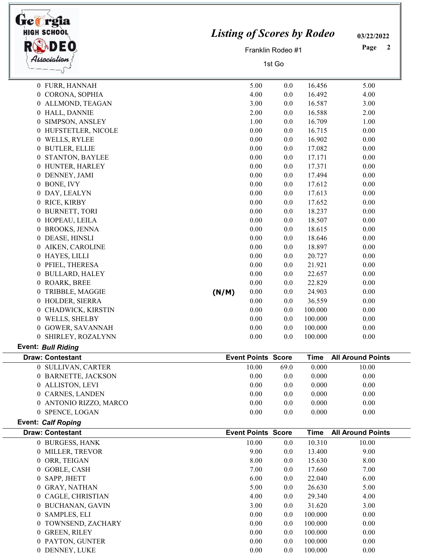| <b>HIGH SCHOOL</b><br>DEO                     | <b>Listing of Scores by Rodeo</b> | 03/22/2022<br>Page<br>$\overline{2}$ |            |                      |                                   |
|-----------------------------------------------|-----------------------------------|--------------------------------------|------------|----------------------|-----------------------------------|
| Association                                   | Franklin Rodeo #1                 |                                      |            |                      |                                   |
|                                               |                                   |                                      |            |                      |                                   |
| 0 FURR, HANNAH                                |                                   | 5.00                                 | 0.0        | 16.456               | 5.00                              |
| 0 CORONA, SOPHIA                              |                                   | 4.00                                 | 0.0        | 16.492               | 4.00                              |
| 0 ALLMOND, TEAGAN                             |                                   | 3.00                                 | 0.0        | 16.587               | 3.00                              |
| 0 HALL, DANNIE                                |                                   | 2.00                                 | 0.0        | 16.588               | 2.00                              |
| 0 SIMPSON, ANSLEY                             |                                   | 1.00                                 | 0.0        | 16.709               | 1.00                              |
| 0 HUFSTETLER, NICOLE                          |                                   | 0.00                                 | 0.0        | 16.715               | 0.00                              |
| 0 WELLS, RYLEE                                |                                   | 0.00                                 | 0.0        | 16.902               | 0.00                              |
| 0 BUTLER, ELLIE                               |                                   | 0.00                                 | 0.0        | 17.082               | 0.00                              |
| 0 STANTON, BAYLEE                             |                                   | 0.00                                 | 0.0        | 17.171               | 0.00                              |
| 0 HUNTER, HARLEY                              |                                   | 0.00                                 | 0.0        | 17.371               | 0.00                              |
| 0 DENNEY, JAMI                                |                                   | 0.00                                 | 0.0        | 17.494               | 0.00                              |
| 0 BONE, IVY                                   |                                   | 0.00                                 | 0.0        | 17.612               | 0.00                              |
| 0 DAY, LEALYN                                 |                                   | 0.00                                 | 0.0        | 17.613               | 0.00                              |
| 0 RICE, KIRBY                                 |                                   | 0.00                                 | 0.0        | 17.652               | 0.00                              |
| 0 BURNETT, TORI<br>0 HOPEAU, LEILA            |                                   | 0.00<br>0.00                         | 0.0        | 18.237<br>18.507     | 0.00<br>0.00                      |
| 0 BROOKS, JENNA                               |                                   | 0.00                                 | 0.0<br>0.0 | 18.615               | 0.00                              |
| 0 DEASE, HINSLI                               |                                   | 0.00                                 | 0.0        | 18.646               | 0.00                              |
| 0 AIKEN, CAROLINE                             |                                   | 0.00                                 | 0.0        | 18.897               | 0.00                              |
| 0 HAYES, LILLI                                |                                   | 0.00                                 | 0.0        | 20.727               | 0.00                              |
| 0 PFIEL, THERESA                              |                                   | 0.00                                 | 0.0        | 21.921               | 0.00                              |
| 0 BULLARD, HALEY                              |                                   | 0.00                                 | 0.0        | 22.657               | 0.00                              |
| 0 ROARK, BREE                                 |                                   | 0.00                                 | 0.0        | 22.829               | 0.00                              |
| 0 TRIBBLE, MAGGIE                             | (N/M)                             | 0.00                                 | 0.0        | 24.903               | 0.00                              |
| 0 HOLDER, SIERRA                              |                                   | 0.00                                 | 0.0        | 36.559               | 0.00                              |
| 0 CHADWICK, KIRSTIN                           |                                   | 0.00                                 | 0.0        | 100.000              | 0.00                              |
| 0 WELLS, SHELBY                               |                                   | 0.00                                 | 0.0        | 100.000              | 0.00                              |
| 0 GOWER, SAVANNAH                             |                                   | 0.00                                 | 0.0        | 100.000              | 0.00                              |
| 0 SHIRLEY, ROZALYNN                           |                                   | 0.00                                 | 0.0        | 100.000              | 0.00                              |
| <b>Event: Bull Riding</b>                     |                                   |                                      |            |                      |                                   |
| <b>Draw: Contestant</b><br>0 SULLIVAN, CARTER |                                   | <b>Event Points Score</b><br>10.00   | 69.0       | <b>Time</b><br>0.000 | <b>All Around Points</b><br>10.00 |
| 0 BARNETTE, JACKSON                           |                                   | 0.00                                 | 0.0        | 0.000                | 0.00                              |
| 0 ALLISTON, LEVI                              |                                   | 0.00                                 | 0.0        | 0.000                | 0.00                              |
| 0 CARNES, LANDEN                              |                                   | 0.00                                 | 0.0        | 0.000                | 0.00                              |
| 0 ANTONIO RIZZO, MARCO                        |                                   | 0.00                                 | 0.0        | 0.000                | 0.00                              |
| 0 SPENCE, LOGAN                               |                                   | 0.00                                 | 0.0        | 0.000                | 0.00                              |
| <b>Event: Calf Roping</b>                     |                                   |                                      |            |                      |                                   |
| <b>Draw: Contestant</b>                       |                                   | <b>Event Points Score</b>            |            | <b>Time</b>          | <b>All Around Points</b>          |
| 0 BURGESS, HANK                               |                                   | 10.00                                | 0.0        | 10.310               | 10.00                             |
| 0 MILLER, TREVOR                              |                                   | 9.00                                 | 0.0        | 13.400               | 9.00                              |
| 0 ORR, TEIGAN                                 |                                   | 8.00                                 | 0.0        | 15.630               | 8.00                              |
| 0 GOBLE, CASH                                 |                                   | 7.00                                 | 0.0        | 17.660               | 7.00                              |
| 0 SAPP, JHETT                                 |                                   | 6.00                                 | 0.0        | 22.040               | 6.00                              |
| 0 GRAY, NATHAN                                |                                   | 5.00                                 | 0.0        | 26.630               | 5.00                              |
| 0 CAGLE, CHRISTIAN                            |                                   | 4.00                                 | 0.0        | 29.340               | 4.00                              |
| 0 BUCHANAN, GAVIN<br>0 SAMPLES, ELI           |                                   | 3.00<br>0.00                         | 0.0<br>0.0 | 31.620<br>100.000    | 3.00<br>0.00                      |
| 0 TOWNSEND, ZACHARY                           |                                   | 0.00                                 | 0.0        | 100.000              | 0.00                              |
| 0 GREEN, RILEY                                |                                   | 0.00                                 | 0.0        | 100.000              | 0.00                              |
| 0 PAYTON, GUNTER                              |                                   | 0.00                                 | 0.0        | 100.000              | 0.00                              |
|                                               |                                   |                                      |            |                      |                                   |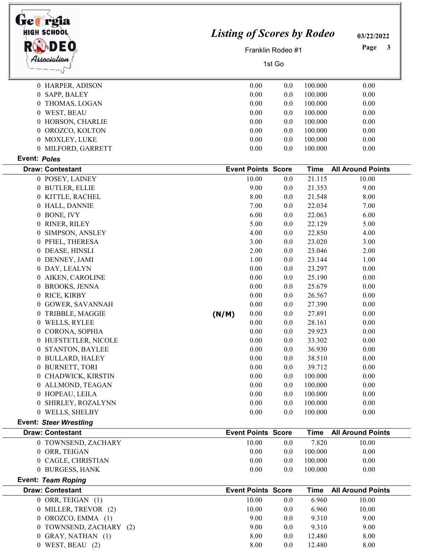| Ge@rgia<br><b>HIGH SCHOOL</b><br>Association | <b>Listing of Scores by Rodeo</b> | 03/22/2022<br>Page<br>3   |     |             |                          |
|----------------------------------------------|-----------------------------------|---------------------------|-----|-------------|--------------------------|
| 0 HARPER, ADISON                             |                                   | 0.00                      | 0.0 | 100.000     | 0.00                     |
| 0 SAPP, BALEY                                |                                   | 0.00                      | 0.0 | 100.000     | 0.00                     |
| 0 THOMAS, LOGAN                              |                                   | 0.00                      | 0.0 | 100.000     | 0.00                     |
| 0 WEST, BEAU                                 |                                   | 0.00                      | 0.0 | 100.000     | 0.00                     |
| 0 HOBSON, CHARLIE                            |                                   | 0.00                      | 0.0 | 100.000     | 0.00                     |
| 0 OROZCO, KOLTON                             |                                   | 0.00                      | 0.0 | 100.000     | 0.00                     |
| 0 MOXLEY, LUKE                               |                                   | 0.00                      | 0.0 | 100.000     | 0.00                     |
| 0 MILFORD, GARRETT                           |                                   | 0.00                      | 0.0 | 100.000     | 0.00                     |
| Event: Poles                                 |                                   |                           |     |             |                          |
| <b>Draw: Contestant</b>                      |                                   | <b>Event Points Score</b> |     | <b>Time</b> | <b>All Around Points</b> |
| 0 POSEY, LAINEY                              |                                   | 10.00                     | 0.0 | 21.115      | 10.00                    |
| 0 BUTLER, ELLIE                              |                                   | 9.00                      | 0.0 | 21.353      | 9.00                     |
| 0 KITTLE, RACHEL                             |                                   | 8.00                      | 0.0 | 21.548      | 8.00                     |
| 0 HALL, DANNIE                               |                                   | 7.00                      | 0.0 | 22.034      | 7.00                     |
| 0 BONE, IVY                                  |                                   | 6.00                      | 0.0 | 22.063      | 6.00                     |
| 0 RINER, RILEY                               |                                   | 5.00                      | 0.0 | 22.129      | 5.00                     |
| SIMPSON, ANSLEY<br>$\theta$                  |                                   | 4.00                      | 0.0 | 22.850      | 4.00                     |
| 0 PFIEL, THERESA                             |                                   | 3.00                      | 0.0 | 23.020      | 3.00                     |
| 0 DEASE, HINSLI                              |                                   | 2.00                      | 0.0 | 23.046      | 2.00                     |
| 0 DENNEY, JAMI                               |                                   | 1.00                      | 0.0 | 23.144      | 1.00                     |
| 0 DAY, LEALYN                                |                                   | 0.00                      | 0.0 | 23.297      | 0.00                     |
| 0 AIKEN, CAROLINE                            |                                   | 0.00                      | 0.0 | 25.190      | 0.00                     |
| 0 BROOKS, JENNA                              |                                   | 0.00                      | 0.0 | 25.679      | 0.00                     |
| 0 RICE, KIRBY                                |                                   | 0.00                      | 0.0 | 26.567      | 0.00                     |
| <b>GOWER, SAVANNAH</b><br>$^{(1)}$           |                                   | 0.00                      | 0.0 | 27.390      | 0.00                     |
| 0 TRIBBLE, MAGGIE                            | (N/M)                             | 0.00                      | 0.0 | 27.891      | 0.00                     |
| 0 WELLS, RYLEE                               |                                   | 0.00                      | 0.0 | 28.161      | 0.00                     |
| 0 CORONA, SOPHIA                             |                                   | 0.00                      | 0.0 | 29.923      | 0.00                     |
| 0 HUFSTETLER, NICOLE                         |                                   | 0.00                      | 0.0 | 33.302      | 0.00                     |
| 0 STANTON, BAYLEE                            |                                   | 0.00                      | 0.0 | 36.930      | 0.00                     |
| 0 BULLARD, HALEY                             |                                   | 0.00                      | 0.0 | 38.510      | 0.00                     |
| 0 BURNETT, TORI                              |                                   | 0.00                      | 0.0 | 39.712      | 0.00                     |
| 0 CHADWICK, KIRSTIN                          |                                   | 0.00                      | 0.0 | 100.000     | 0.00                     |
| 0 ALLMOND, TEAGAN                            |                                   | 0.00                      | 0.0 | 100.000     | 0.00                     |
| 0 HOPEAU, LEILA                              |                                   | 0.00                      | 0.0 | 100.000     | 0.00                     |
| 0 SHIRLEY, ROZALYNN                          |                                   | 0.00                      | 0.0 | 100.000     | 0.00                     |
| 0 WELLS, SHELBY                              |                                   | 0.00                      | 0.0 | 100.000     | 0.00                     |
| <b>Event: Steer Wrestling</b>                |                                   |                           |     |             |                          |
| <b>Draw: Contestant</b>                      |                                   | <b>Event Points Score</b> |     | <b>Time</b> | <b>All Around Points</b> |
| 0 TOWNSEND, ZACHARY                          |                                   | 10.00                     | 0.0 | 7.820       | 10.00                    |
| 0 ORR, TEIGAN                                |                                   | 0.00                      | 0.0 | 100.000     | 0.00                     |
| 0 CAGLE, CHRISTIAN                           |                                   | 0.00                      | 0.0 | 100.000     | 0.00                     |
| 0 BURGESS, HANK                              |                                   | 0.00                      | 0.0 | 100.000     | 0.00                     |
| Event: Team Roping                           |                                   |                           |     |             |                          |
| <b>Draw: Contestant</b>                      |                                   | <b>Event Points Score</b> |     | <b>Time</b> | <b>All Around Points</b> |
| 0 ORR, TEIGAN (1)                            |                                   | 10.00                     | 0.0 | 6.960       | 10.00                    |
| 0 MILLER, TREVOR (2)                         |                                   | 10.00                     | 0.0 | 6.960       | 10.00                    |
| OROZCO, EMMA (1)<br>0                        |                                   | 9.00                      | 0.0 | 9.310       | 9.00                     |
| 0 TOWNSEND, ZACHARY (2)                      |                                   | 9.00                      | 0.0 | 9.310       | 9.00                     |
| 0 GRAY, NATHAN (1)                           |                                   | 8.00                      | 0.0 | 12.480      | 8.00                     |
| $0$ WEST, BEAU $(2)$                         |                                   | 8.00                      | 0.0 | 12.480      | 8.00                     |